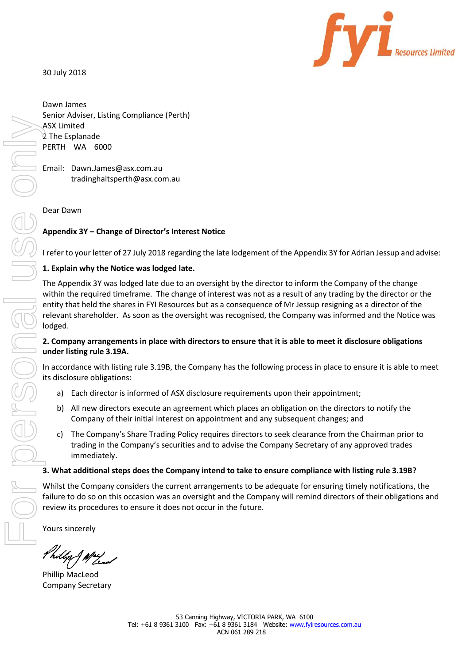30 July 2018



Secretary Additional Units of the Company Secretary For Personal Units of the Appendix 3Y – Channel Company Appendix 3Y – Channel Company arrangement of the Appendix 3Y within the required entity that held the relevant sha

Dawn James Senior Adviser, Listing Compliance (Perth) ASX Limited 2 The Esplanade PERTH WA 6000

Email: Dawn.James@asx.com.au tradinghaltsperth@asx.com.au

## Dear Dawn

# **Appendix 3Y – Change of Director's Interest Notice**

I refer to your letter of 27 July 2018 regarding the late lodgement of the Appendix 3Y for Adrian Jessup and advise:

## **1. Explain why the Notice was lodged late.**

The Appendix 3Y was lodged late due to an oversight by the director to inform the Company of the change within the required timeframe. The change of interest was not as a result of any trading by the director or the entity that held the shares in FYI Resources but as a consequence of Mr Jessup resigning as a director of the relevant shareholder. As soon as the oversight was recognised, the Company was informed and the Notice was lodged.

## **2. Company arrangements in place with directors to ensure that it is able to meet it disclosure obligations under listing rule 3.19A.**

In accordance with listing rule 3.19B, the Company has the following process in place to ensure it is able to meet its disclosure obligations:

- a) Each director is informed of ASX disclosure requirements upon their appointment;
- b) All new directors execute an agreement which places an obligation on the directors to notify the Company of their initial interest on appointment and any subsequent changes; and
- c) The Company's Share Trading Policy requires directors to seek clearance from the Chairman prior to trading in the Company's securities and to advise the Company Secretary of any approved trades immediately.

## **3. What additional steps does the Company intend to take to ensure compliance with listing rule 3.19B?**

Whilst the Company considers the current arrangements to be adequate for ensuring timely notifications, the failure to do so on this occasion was an oversight and the Company will remind directors of their obligations and review its procedures to ensure it does not occur in the future.

Yours sincerely

Phillip MacLeod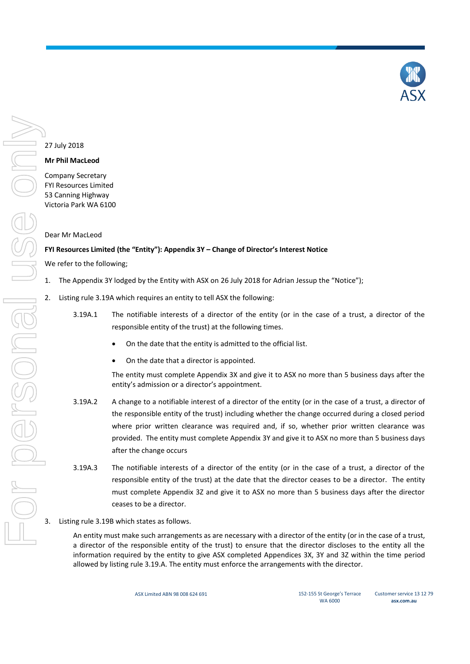

### 27 July 2018

### **Mr Phil MacLeod**

Company Secretary FYI Resources Limited 53 Canning Highway Victoria Park WA 6100

### Dear Mr MacLeod

### **FYI Resources Limited (the "Entity"): Appendix 3Y – Change of Director's Interest Notice**

We refer to the following;

- 1. The Appendix 3Y lodged by the Entity with ASX on 26 July 2018 for Adrian Jessup the "Notice");
- 2. Listing rule 3.19A which requires an entity to tell ASX the following:
	- 3.19A.1 The notifiable interests of a director of the entity (or in the case of a trust, a director of the responsible entity of the trust) at the following times.
		- On the date that the entity is admitted to the official list.
		- On the date that a director is appointed.

The entity must complete Appendix 3X and give it to ASX no more than 5 business days after the entity's admission or a director's appointment.

- 3.19A.2 A change to a notifiable interest of a director of the entity (or in the case of a trust, a director of the responsible entity of the trust) including whether the change occurred during a closed period where prior written clearance was required and, if so, whether prior written clearance was provided. The entity must complete Appendix 3Y and give it to ASX no more than 5 business days after the change occurs
- 3.19A.3 The notifiable interests of a director of the entity (or in the case of a trust, a director of the responsible entity of the trust) at the date that the director ceases to be a director. The entity must complete Appendix 3Z and give it to ASX no more than 5 business days after the director ceases to be a director.
- 3. Listing rule 3.19B which states as follows.

An entity must make such arrangements as are necessary with a director of the entity (or in the case of a trust, a director of the responsible entity of the trust) to ensure that the director discloses to the entity all the information required by the entity to give ASX completed Appendices 3X, 3Y and 3Z within the time period allowed by listing rule 3.19.A. The entity must enforce the arrangements with the director.